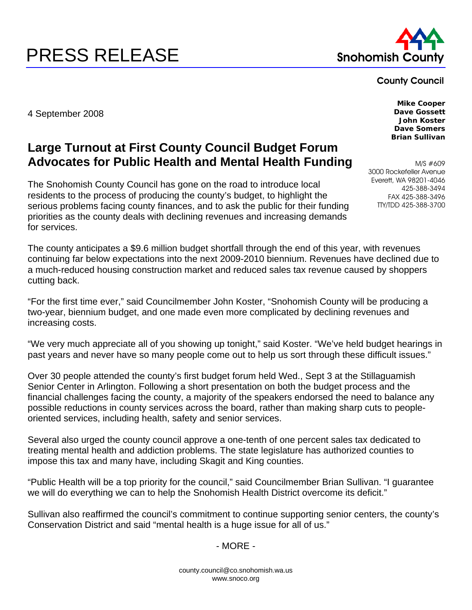# PRESS RELEASE Snohomish County



#### County Council

4 September 2008

## **Large Turnout at First County Council Budget Forum Advocates for Public Health and Mental Health Funding**

The Snohomish County Council has gone on the road to introduce local residents to the process of producing the county's budget, to highlight the serious problems facing county finances, and to ask the public for their funding priorities as the county deals with declining revenues and increasing demands for services.

The county anticipates a \$9.6 million budget shortfall through the end of this year, with revenues continuing far below expectations into the next 2009-2010 biennium. Revenues have declined due to a much-reduced housing construction market and reduced sales tax revenue caused by shoppers cutting back.

"For the first time ever," said Councilmember John Koster, "Snohomish County will be producing a two-year, biennium budget, and one made even more complicated by declining revenues and increasing costs.

"We very much appreciate all of you showing up tonight," said Koster. "We've held budget hearings in past years and never have so many people come out to help us sort through these difficult issues."

Over 30 people attended the county's first budget forum held Wed., Sept 3 at the Stillaguamish Senior Center in Arlington. Following a short presentation on both the budget process and the financial challenges facing the county, a majority of the speakers endorsed the need to balance any possible reductions in county services across the board, rather than making sharp cuts to peopleoriented services, including health, safety and senior services.

Several also urged the county council approve a one-tenth of one percent sales tax dedicated to treating mental health and addiction problems. The state legislature has authorized counties to impose this tax and many have, including Skagit and King counties.

"Public Health will be a top priority for the council," said Councilmember Brian Sullivan. "I guarantee we will do everything we can to help the Snohomish Health District overcome its deficit."

Sullivan also reaffirmed the council's commitment to continue supporting senior centers, the county's Conservation District and said "mental health is a huge issue for all of us."

## - MORE -

**Mike Cooper Dave Gossett John Koster Dave Somers Brian Sullivan** 

M/S #609 3000 Rockefeller Avenue Everett, WA 98201-4046 425-388-3494 FAX 425-388-3496 TTY/TDD 425-388-3700